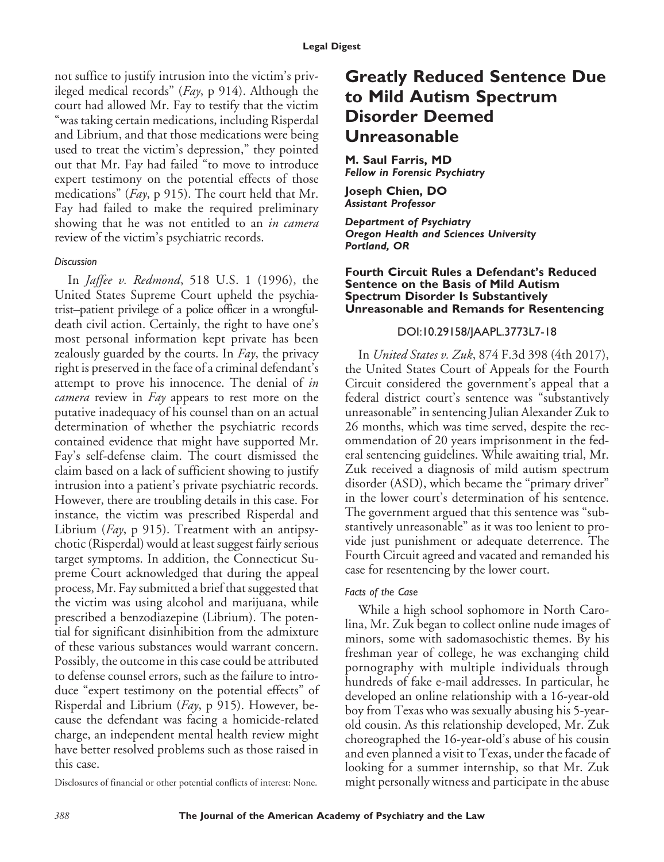not suffice to justify intrusion into the victim's privileged medical records" (*Fay*, p 914). Although the court had allowed Mr. Fay to testify that the victim "was taking certain medications, including Risperdal and Librium, and that those medications were being used to treat the victim's depression," they pointed out that Mr. Fay had failed "to move to introduce expert testimony on the potential effects of those medications" (*Fay*, p 915). The court held that Mr. Fay had failed to make the required preliminary showing that he was not entitled to an *in camera* review of the victim's psychiatric records.

#### *Discussion*

In *Jaffee v. Redmond*, 518 U.S. 1 (1996), the United States Supreme Court upheld the psychiatrist–patient privilege of a police officer in a wrongfuldeath civil action. Certainly, the right to have one's most personal information kept private has been zealously guarded by the courts. In *Fay*, the privacy right is preserved in the face of a criminal defendant's attempt to prove his innocence. The denial of *in camera* review in *Fay* appears to rest more on the putative inadequacy of his counsel than on an actual determination of whether the psychiatric records contained evidence that might have supported Mr. Fay's self-defense claim. The court dismissed the claim based on a lack of sufficient showing to justify intrusion into a patient's private psychiatric records. However, there are troubling details in this case. For instance, the victim was prescribed Risperdal and Librium (*Fay*, p 915). Treatment with an antipsychotic (Risperdal) would at least suggest fairly serious target symptoms. In addition, the Connecticut Supreme Court acknowledged that during the appeal process, Mr. Fay submitted a brief that suggested that the victim was using alcohol and marijuana, while prescribed a benzodiazepine (Librium). The potential for significant disinhibition from the admixture of these various substances would warrant concern. Possibly, the outcome in this case could be attributed to defense counsel errors, such as the failure to introduce "expert testimony on the potential effects" of Risperdal and Librium (*Fay*, p 915). However, because the defendant was facing a homicide-related charge, an independent mental health review might have better resolved problems such as those raised in this case.

Disclosures of financial or other potential conflicts of interest: None.

## **Greatly Reduced Sentence Due to Mild Autism Spectrum Disorder Deemed Unreasonable**

**M. Saul Farris, MD** *Fellow in Forensic Psychiatry*

**Joseph Chien, DO** *Assistant Professor*

*Department of Psychiatry Oregon Health and Sciences University Portland, OR*

#### **Fourth Circuit Rules a Defendant's Reduced Sentence on the Basis of Mild Autism Spectrum Disorder Is Substantively Unreasonable and Remands for Resentencing**

#### DOI:10.29158/JAAPL.3773L7-18

In *United States v. Zuk*, 874 F.3d 398 (4th 2017), the United States Court of Appeals for the Fourth Circuit considered the government's appeal that a federal district court's sentence was "substantively unreasonable" in sentencing Julian Alexander Zuk to 26 months, which was time served, despite the recommendation of 20 years imprisonment in the federal sentencing guidelines. While awaiting trial, Mr. Zuk received a diagnosis of mild autism spectrum disorder (ASD), which became the "primary driver" in the lower court's determination of his sentence. The government argued that this sentence was "substantively unreasonable" as it was too lenient to provide just punishment or adequate deterrence. The Fourth Circuit agreed and vacated and remanded his case for resentencing by the lower court.

### *Facts of the Case*

While a high school sophomore in North Carolina, Mr. Zuk began to collect online nude images of minors, some with sadomasochistic themes. By his freshman year of college, he was exchanging child pornography with multiple individuals through hundreds of fake e-mail addresses. In particular, he developed an online relationship with a 16-year-old boy from Texas who was sexually abusing his 5-yearold cousin. As this relationship developed, Mr. Zuk choreographed the 16-year-old's abuse of his cousin and even planned a visit to Texas, under the facade of looking for a summer internship, so that Mr. Zuk might personally witness and participate in the abuse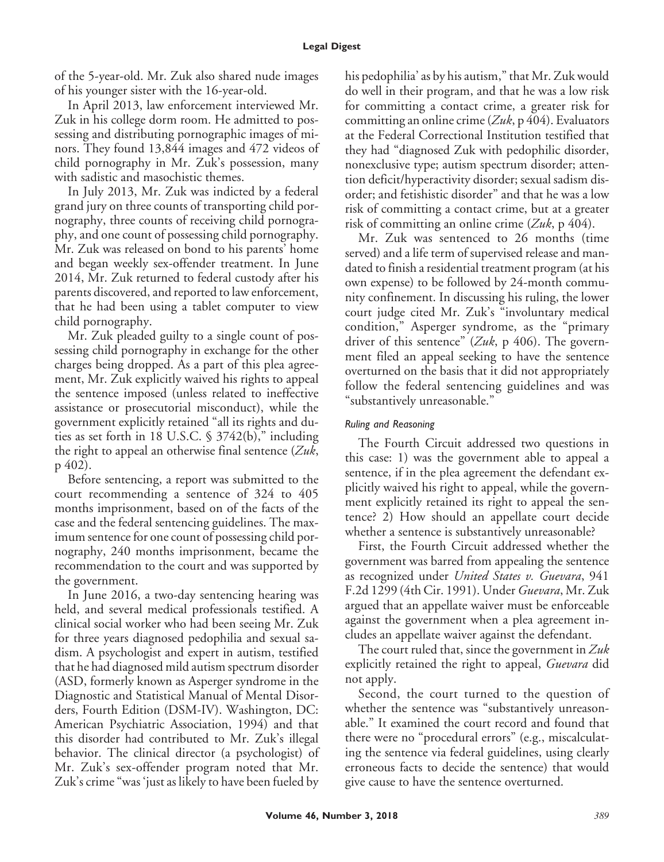of the 5-year-old. Mr. Zuk also shared nude images of his younger sister with the 16-year-old.

In April 2013, law enforcement interviewed Mr. Zuk in his college dorm room. He admitted to possessing and distributing pornographic images of minors. They found 13,844 images and 472 videos of child pornography in Mr. Zuk's possession, many with sadistic and masochistic themes.

In July 2013, Mr. Zuk was indicted by a federal grand jury on three counts of transporting child pornography, three counts of receiving child pornography, and one count of possessing child pornography. Mr. Zuk was released on bond to his parents' home and began weekly sex-offender treatment. In June 2014, Mr. Zuk returned to federal custody after his parents discovered, and reported to law enforcement, that he had been using a tablet computer to view child pornography.

Mr. Zuk pleaded guilty to a single count of possessing child pornography in exchange for the other charges being dropped. As a part of this plea agreement, Mr. Zuk explicitly waived his rights to appeal the sentence imposed (unless related to ineffective assistance or prosecutorial misconduct), while the government explicitly retained "all its rights and duties as set forth in 18 U.S.C. § 3742(b)," including the right to appeal an otherwise final sentence (*Zuk*, p 402).

Before sentencing, a report was submitted to the court recommending a sentence of 324 to 405 months imprisonment, based on of the facts of the case and the federal sentencing guidelines. The maximum sentence for one count of possessing child pornography, 240 months imprisonment, became the recommendation to the court and was supported by the government.

In June 2016, a two-day sentencing hearing was held, and several medical professionals testified. A clinical social worker who had been seeing Mr. Zuk for three years diagnosed pedophilia and sexual sadism. A psychologist and expert in autism, testified that he had diagnosed mild autism spectrum disorder (ASD, formerly known as Asperger syndrome in the Diagnostic and Statistical Manual of Mental Disorders, Fourth Edition (DSM-IV). Washington, DC: American Psychiatric Association, 1994) and that this disorder had contributed to Mr. Zuk's illegal behavior. The clinical director (a psychologist) of Mr. Zuk's sex-offender program noted that Mr. Zuk's crime "was 'just as likely to have been fueled by his pedophilia' as by his autism," that Mr. Zuk would do well in their program, and that he was a low risk for committing a contact crime, a greater risk for committing an online crime (*Zuk*, p 404). Evaluators at the Federal Correctional Institution testified that they had "diagnosed Zuk with pedophilic disorder, nonexclusive type; autism spectrum disorder; attention deficit/hyperactivity disorder; sexual sadism disorder; and fetishistic disorder" and that he was a low risk of committing a contact crime, but at a greater risk of committing an online crime (*Zuk*, p 404).

Mr. Zuk was sentenced to 26 months (time served) and a life term of supervised release and mandated to finish a residential treatment program (at his own expense) to be followed by 24-month community confinement. In discussing his ruling, the lower court judge cited Mr. Zuk's "involuntary medical condition," Asperger syndrome, as the "primary driver of this sentence" (*Zuk*, p 406). The government filed an appeal seeking to have the sentence overturned on the basis that it did not appropriately follow the federal sentencing guidelines and was "substantively unreasonable."

## *Ruling and Reasoning*

The Fourth Circuit addressed two questions in this case: 1) was the government able to appeal a sentence, if in the plea agreement the defendant explicitly waived his right to appeal, while the government explicitly retained its right to appeal the sentence? 2) How should an appellate court decide whether a sentence is substantively unreasonable?

First, the Fourth Circuit addressed whether the government was barred from appealing the sentence as recognized under *United States v. Guevara*, 941 F.2d 1299 (4th Cir. 1991). Under *Guevara*, Mr. Zuk argued that an appellate waiver must be enforceable against the government when a plea agreement includes an appellate waiver against the defendant.

The court ruled that, since the government in *Zuk* explicitly retained the right to appeal, *Guevara* did not apply.

Second, the court turned to the question of whether the sentence was "substantively unreasonable." It examined the court record and found that there were no "procedural errors" (e.g., miscalculating the sentence via federal guidelines, using clearly erroneous facts to decide the sentence) that would give cause to have the sentence overturned.